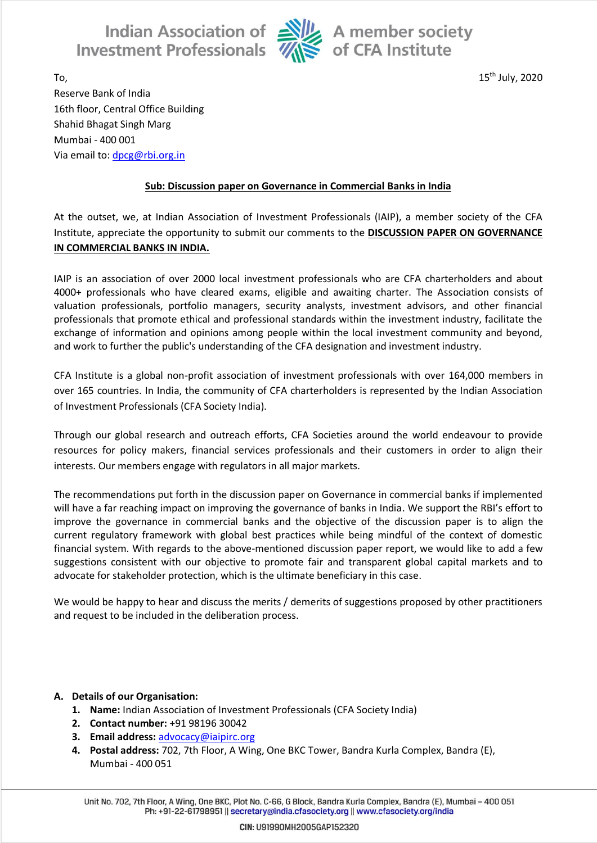Indian Association of Alle A member society<br>Investment Professionals  $\overline{\mathcal{U}}$  of CFA Institute



To,  $15^{\text{th}}$  July, 2020 Reserve Bank of India 16th floor, Central Office Building Shahid Bhagat Singh Marg Mumbai - 400 001 Via email to: [dpcg@rbi.org.in](mailto:dpcg@rbi.org.in)

## **Sub: Discussion paper on Governance in Commercial Banks in India**

At the outset, we, at Indian Association of Investment Professionals (IAIP), a member society of the CFA Institute, appreciate the opportunity to submit our comments to the **DISCUSSION PAPER ON GOVERNANCE IN COMMERCIAL BANKS IN INDIA.**

IAIP is an association of over 2000 local investment professionals who are CFA charterholders and about 4000+ professionals who have cleared exams, eligible and awaiting charter. The Association consists of valuation professionals, portfolio managers, security analysts, investment advisors, and other financial professionals that promote ethical and professional standards within the investment industry, facilitate the exchange of information and opinions among people within the local investment community and beyond, and work to further the public's understanding of the CFA designation and investment industry.

CFA Institute is a global non-profit association of investment professionals with over 164,000 members in over 165 countries. In India, the community of CFA charterholders is represented by the Indian Association of Investment Professionals (CFA Society India).

Through our global research and outreach efforts, CFA Societies around the world endeavour to provide resources for policy makers, financial services professionals and their customers in order to align their interests. Our members engage with regulators in all major markets.

The recommendations put forth in the discussion paper on Governance in commercial banks if implemented will have a far reaching impact on improving the governance of banks in India. We support the RBI's effort to improve the governance in commercial banks and the objective of the discussion paper is to align the current regulatory framework with global best practices while being mindful of the context of domestic financial system. With regards to the above-mentioned discussion paper report, we would like to add a few suggestions consistent with our objective to promote fair and transparent global capital markets and to advocate for stakeholder protection, which is the ultimate beneficiary in this case.

We would be happy to hear and discuss the merits / demerits of suggestions proposed by other practitioners and request to be included in the deliberation process.

## **A. Details of our Organisation:**

- **1. Name:** Indian Association of Investment Professionals (CFA Society India)
- **2. Contact number:** +91 98196 30042
- **3. Email address:** [advocacy@iaipirc.org](mailto:advocacy@iaipirc.org)
- **4. Postal address:** 702, 7th Floor, A Wing, One BKC Tower, Bandra Kurla Complex, Bandra (E), Mumbai - 400 051

Unit No. 702, 7th Floor, A Wing, One BKC, Plot No. C-66, G Block, Bandra Kurla Complex, Bandra (E), Mumbai - 400 051 Ph: +91-22-61798951 || secretary@india.cfasociety.org || www.cfasociety.org/india

CIN: U91990MH2005GAP152320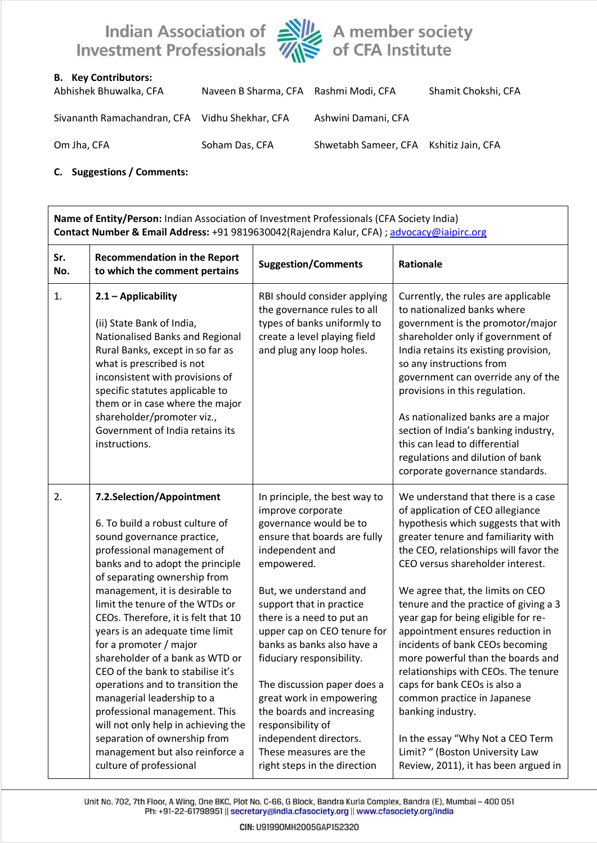

## **B. Key Contributors:**

| Abhishek Bhuwalka, CFA                         | Naveen B Sharma, CFA Rashmi Modi, CFA |                                        | Shamit Chokshi, CFA |
|------------------------------------------------|---------------------------------------|----------------------------------------|---------------------|
| Sivananth Ramachandran, CFA Vidhu Shekhar, CFA |                                       | Ashwini Damani, CFA                    |                     |
| Om Jha, CFA                                    | Soham Das, CFA                        | Shwetabh Sameer, CFA Kshitiz Jain, CFA |                     |

## **C. Suggestions / Comments:**

| Name of Entity/Person: Indian Association of Investment Professionals (CFA Society India)<br>Contact Number & Email Address: +91 9819630042(Rajendra Kalur, CFA) ; advocacy@iaipirc.org |                                                                                                                                                                                                                                                                                                                                                                                                                                                                                                                                                                                                                                                                                       |                                                                                                                                                                                                                                                                                                                                                                                                                                                                                                                             |                                                                                                                                                                                                                                                                                                                                                                                                                                                                                                                                                                                                                                                                                                             |  |  |
|-----------------------------------------------------------------------------------------------------------------------------------------------------------------------------------------|---------------------------------------------------------------------------------------------------------------------------------------------------------------------------------------------------------------------------------------------------------------------------------------------------------------------------------------------------------------------------------------------------------------------------------------------------------------------------------------------------------------------------------------------------------------------------------------------------------------------------------------------------------------------------------------|-----------------------------------------------------------------------------------------------------------------------------------------------------------------------------------------------------------------------------------------------------------------------------------------------------------------------------------------------------------------------------------------------------------------------------------------------------------------------------------------------------------------------------|-------------------------------------------------------------------------------------------------------------------------------------------------------------------------------------------------------------------------------------------------------------------------------------------------------------------------------------------------------------------------------------------------------------------------------------------------------------------------------------------------------------------------------------------------------------------------------------------------------------------------------------------------------------------------------------------------------------|--|--|
| Sr.<br>No.                                                                                                                                                                              | <b>Recommendation in the Report</b><br>to which the comment pertains                                                                                                                                                                                                                                                                                                                                                                                                                                                                                                                                                                                                                  | <b>Suggestion/Comments</b>                                                                                                                                                                                                                                                                                                                                                                                                                                                                                                  | Rationale                                                                                                                                                                                                                                                                                                                                                                                                                                                                                                                                                                                                                                                                                                   |  |  |
| 1.                                                                                                                                                                                      | 2.1 - Applicability<br>(ii) State Bank of India,<br>Nationalised Banks and Regional<br>Rural Banks, except in so far as<br>what is prescribed is not<br>inconsistent with provisions of<br>specific statutes applicable to<br>them or in case where the major<br>shareholder/promoter viz.,<br>Government of India retains its<br>instructions.                                                                                                                                                                                                                                                                                                                                       | RBI should consider applying<br>the governance rules to all<br>types of banks uniformly to<br>create a level playing field<br>and plug any loop holes.                                                                                                                                                                                                                                                                                                                                                                      | Currently, the rules are applicable<br>to nationalized banks where<br>government is the promotor/major<br>shareholder only if government of<br>India retains its existing provision,<br>so any instructions from<br>government can override any of the<br>provisions in this regulation.<br>As nationalized banks are a major<br>section of India's banking industry,<br>this can lead to differential<br>regulations and dilution of bank<br>corporate governance standards.                                                                                                                                                                                                                               |  |  |
| 2.                                                                                                                                                                                      | 7.2.Selection/Appointment<br>6. To build a robust culture of<br>sound governance practice,<br>professional management of<br>banks and to adopt the principle<br>of separating ownership from<br>management, it is desirable to<br>limit the tenure of the WTDs or<br>CEOs. Therefore, it is felt that 10<br>years is an adequate time limit<br>for a promoter / major<br>shareholder of a bank as WTD or<br>CEO of the bank to stabilise it's<br>operations and to transition the<br>managerial leadership to a<br>professional management. This<br>will not only help in achieving the<br>separation of ownership from<br>management but also reinforce a<br>culture of professional | In principle, the best way to<br>improve corporate<br>governance would be to<br>ensure that boards are fully<br>independent and<br>empowered.<br>But, we understand and<br>support that in practice<br>there is a need to put an<br>upper cap on CEO tenure for<br>banks as banks also have a<br>fiduciary responsibility.<br>The discussion paper does a<br>great work in empowering<br>the boards and increasing<br>responsibility of<br>independent directors.<br>These measures are the<br>right steps in the direction | We understand that there is a case<br>of application of CEO allegiance<br>hypothesis which suggests that with<br>greater tenure and familiarity with<br>the CEO, relationships will favor the<br>CEO versus shareholder interest.<br>We agree that, the limits on CEO<br>tenure and the practice of giving a 3<br>year gap for being eligible for re-<br>appointment ensures reduction in<br>incidents of bank CEOs becoming<br>more powerful than the boards and<br>relationships with CEOs. The tenure<br>caps for bank CEOs is also a<br>common practice in Japanese<br>banking industry.<br>In the essay "Why Not a CEO Term<br>Limit? " (Boston University Law<br>Review, 2011), it has been argued in |  |  |

Unit No. 702, 7th Floor, A Wing, One BKC, Plot No. C-66, G Block, Bandra Kurla Complex, Bandra (E), Mumbai - 400 051 Ph: +91-22-61798951 || secretary@india.cfasociety.org || www.cfasociety.org/india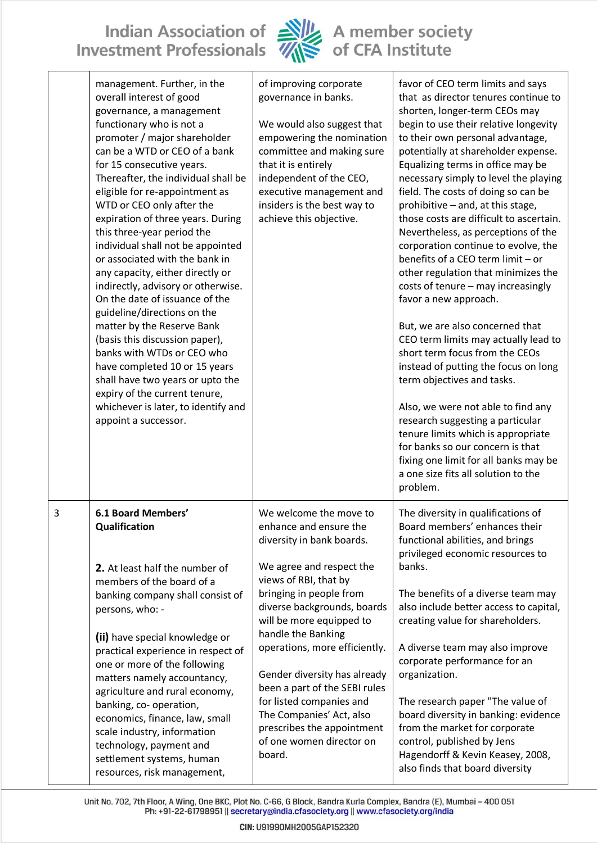Indian Association of Alle A member society<br>Investment Professionals Alle of CFA Institute



|   | management. Further, in the<br>overall interest of good<br>governance, a management<br>functionary who is not a<br>promoter / major shareholder<br>can be a WTD or CEO of a bank<br>for 15 consecutive years.<br>Thereafter, the individual shall be<br>eligible for re-appointment as<br>WTD or CEO only after the<br>expiration of three years. During<br>this three-year period the<br>individual shall not be appointed<br>or associated with the bank in<br>any capacity, either directly or<br>indirectly, advisory or otherwise.<br>On the date of issuance of the<br>guideline/directions on the<br>matter by the Reserve Bank<br>(basis this discussion paper),<br>banks with WTDs or CEO who<br>have completed 10 or 15 years<br>shall have two years or upto the<br>expiry of the current tenure,<br>whichever is later, to identify and<br>appoint a successor. | of improving corporate<br>governance in banks.<br>We would also suggest that<br>empowering the nomination<br>committee and making sure<br>that it is entirely<br>independent of the CEO,<br>executive management and<br>insiders is the best way to<br>achieve this objective. | favor of CEO term limits and says<br>that as director tenures continue to<br>shorten, longer-term CEOs may<br>begin to use their relative longevity<br>to their own personal advantage,<br>potentially at shareholder expense.<br>Equalizing terms in office may be<br>necessary simply to level the playing<br>field. The costs of doing so can be<br>prohibitive - and, at this stage,<br>those costs are difficult to ascertain.<br>Nevertheless, as perceptions of the<br>corporation continue to evolve, the<br>benefits of a CEO term limit - or<br>other regulation that minimizes the<br>costs of tenure - may increasingly<br>favor a new approach.<br>But, we are also concerned that<br>CEO term limits may actually lead to<br>short term focus from the CEOs<br>instead of putting the focus on long<br>term objectives and tasks.<br>Also, we were not able to find any<br>research suggesting a particular<br>tenure limits which is appropriate<br>for banks so our concern is that<br>fixing one limit for all banks may be<br>a one size fits all solution to the<br>problem. |
|---|-----------------------------------------------------------------------------------------------------------------------------------------------------------------------------------------------------------------------------------------------------------------------------------------------------------------------------------------------------------------------------------------------------------------------------------------------------------------------------------------------------------------------------------------------------------------------------------------------------------------------------------------------------------------------------------------------------------------------------------------------------------------------------------------------------------------------------------------------------------------------------|--------------------------------------------------------------------------------------------------------------------------------------------------------------------------------------------------------------------------------------------------------------------------------|-------------------------------------------------------------------------------------------------------------------------------------------------------------------------------------------------------------------------------------------------------------------------------------------------------------------------------------------------------------------------------------------------------------------------------------------------------------------------------------------------------------------------------------------------------------------------------------------------------------------------------------------------------------------------------------------------------------------------------------------------------------------------------------------------------------------------------------------------------------------------------------------------------------------------------------------------------------------------------------------------------------------------------------------------------------------------------------------------|
| 3 | <b>6.1 Board Members'</b>                                                                                                                                                                                                                                                                                                                                                                                                                                                                                                                                                                                                                                                                                                                                                                                                                                                   | We welcome the move to                                                                                                                                                                                                                                                         | The diversity in qualifications of                                                                                                                                                                                                                                                                                                                                                                                                                                                                                                                                                                                                                                                                                                                                                                                                                                                                                                                                                                                                                                                              |
|   | Qualification                                                                                                                                                                                                                                                                                                                                                                                                                                                                                                                                                                                                                                                                                                                                                                                                                                                               | enhance and ensure the                                                                                                                                                                                                                                                         | Board members' enhances their                                                                                                                                                                                                                                                                                                                                                                                                                                                                                                                                                                                                                                                                                                                                                                                                                                                                                                                                                                                                                                                                   |
|   | 2. At least half the number of                                                                                                                                                                                                                                                                                                                                                                                                                                                                                                                                                                                                                                                                                                                                                                                                                                              | diversity in bank boards.                                                                                                                                                                                                                                                      | functional abilities, and brings                                                                                                                                                                                                                                                                                                                                                                                                                                                                                                                                                                                                                                                                                                                                                                                                                                                                                                                                                                                                                                                                |
|   | members of the board of a                                                                                                                                                                                                                                                                                                                                                                                                                                                                                                                                                                                                                                                                                                                                                                                                                                                   | We agree and respect the                                                                                                                                                                                                                                                       | privileged economic resources to                                                                                                                                                                                                                                                                                                                                                                                                                                                                                                                                                                                                                                                                                                                                                                                                                                                                                                                                                                                                                                                                |
|   | banking company shall consist of                                                                                                                                                                                                                                                                                                                                                                                                                                                                                                                                                                                                                                                                                                                                                                                                                                            | views of RBI, that by                                                                                                                                                                                                                                                          | banks.                                                                                                                                                                                                                                                                                                                                                                                                                                                                                                                                                                                                                                                                                                                                                                                                                                                                                                                                                                                                                                                                                          |
|   | persons, who: -                                                                                                                                                                                                                                                                                                                                                                                                                                                                                                                                                                                                                                                                                                                                                                                                                                                             | bringing in people from                                                                                                                                                                                                                                                        | The benefits of a diverse team may                                                                                                                                                                                                                                                                                                                                                                                                                                                                                                                                                                                                                                                                                                                                                                                                                                                                                                                                                                                                                                                              |
|   | (ii) have special knowledge or                                                                                                                                                                                                                                                                                                                                                                                                                                                                                                                                                                                                                                                                                                                                                                                                                                              | diverse backgrounds, boards                                                                                                                                                                                                                                                    | also include better access to capital,                                                                                                                                                                                                                                                                                                                                                                                                                                                                                                                                                                                                                                                                                                                                                                                                                                                                                                                                                                                                                                                          |
|   | practical experience in respect of                                                                                                                                                                                                                                                                                                                                                                                                                                                                                                                                                                                                                                                                                                                                                                                                                                          | will be more equipped to                                                                                                                                                                                                                                                       | creating value for shareholders.                                                                                                                                                                                                                                                                                                                                                                                                                                                                                                                                                                                                                                                                                                                                                                                                                                                                                                                                                                                                                                                                |
|   | one or more of the following                                                                                                                                                                                                                                                                                                                                                                                                                                                                                                                                                                                                                                                                                                                                                                                                                                                | handle the Banking                                                                                                                                                                                                                                                             | A diverse team may also improve                                                                                                                                                                                                                                                                                                                                                                                                                                                                                                                                                                                                                                                                                                                                                                                                                                                                                                                                                                                                                                                                 |
|   | matters namely accountancy,                                                                                                                                                                                                                                                                                                                                                                                                                                                                                                                                                                                                                                                                                                                                                                                                                                                 | operations, more efficiently.                                                                                                                                                                                                                                                  | corporate performance for an                                                                                                                                                                                                                                                                                                                                                                                                                                                                                                                                                                                                                                                                                                                                                                                                                                                                                                                                                                                                                                                                    |
|   | agriculture and rural economy,                                                                                                                                                                                                                                                                                                                                                                                                                                                                                                                                                                                                                                                                                                                                                                                                                                              | Gender diversity has already                                                                                                                                                                                                                                                   | organization.                                                                                                                                                                                                                                                                                                                                                                                                                                                                                                                                                                                                                                                                                                                                                                                                                                                                                                                                                                                                                                                                                   |
|   | banking, co- operation,                                                                                                                                                                                                                                                                                                                                                                                                                                                                                                                                                                                                                                                                                                                                                                                                                                                     | been a part of the SEBI rules                                                                                                                                                                                                                                                  | The research paper "The value of                                                                                                                                                                                                                                                                                                                                                                                                                                                                                                                                                                                                                                                                                                                                                                                                                                                                                                                                                                                                                                                                |
|   | economics, finance, law, small                                                                                                                                                                                                                                                                                                                                                                                                                                                                                                                                                                                                                                                                                                                                                                                                                                              | for listed companies and                                                                                                                                                                                                                                                       | board diversity in banking: evidence                                                                                                                                                                                                                                                                                                                                                                                                                                                                                                                                                                                                                                                                                                                                                                                                                                                                                                                                                                                                                                                            |
|   | scale industry, information                                                                                                                                                                                                                                                                                                                                                                                                                                                                                                                                                                                                                                                                                                                                                                                                                                                 | The Companies' Act, also                                                                                                                                                                                                                                                       | from the market for corporate                                                                                                                                                                                                                                                                                                                                                                                                                                                                                                                                                                                                                                                                                                                                                                                                                                                                                                                                                                                                                                                                   |
|   | technology, payment and                                                                                                                                                                                                                                                                                                                                                                                                                                                                                                                                                                                                                                                                                                                                                                                                                                                     | prescribes the appointment                                                                                                                                                                                                                                                     | control, published by Jens                                                                                                                                                                                                                                                                                                                                                                                                                                                                                                                                                                                                                                                                                                                                                                                                                                                                                                                                                                                                                                                                      |
|   | settlement systems, human                                                                                                                                                                                                                                                                                                                                                                                                                                                                                                                                                                                                                                                                                                                                                                                                                                                   | of one women director on                                                                                                                                                                                                                                                       | Hagendorff & Kevin Keasey, 2008,                                                                                                                                                                                                                                                                                                                                                                                                                                                                                                                                                                                                                                                                                                                                                                                                                                                                                                                                                                                                                                                                |
|   | resources, risk management,                                                                                                                                                                                                                                                                                                                                                                                                                                                                                                                                                                                                                                                                                                                                                                                                                                                 | board.                                                                                                                                                                                                                                                                         | also finds that board diversity                                                                                                                                                                                                                                                                                                                                                                                                                                                                                                                                                                                                                                                                                                                                                                                                                                                                                                                                                                                                                                                                 |

Unit No. 702, 7th Floor, A Wing, One BKC, Plot No. C-66, G Block, Bandra Kurla Complex, Bandra (E), Mumbai - 400 051<br>Ph: +91-22-61798951 || secretary@india.cfasociety.org || www.cfasociety.org/india